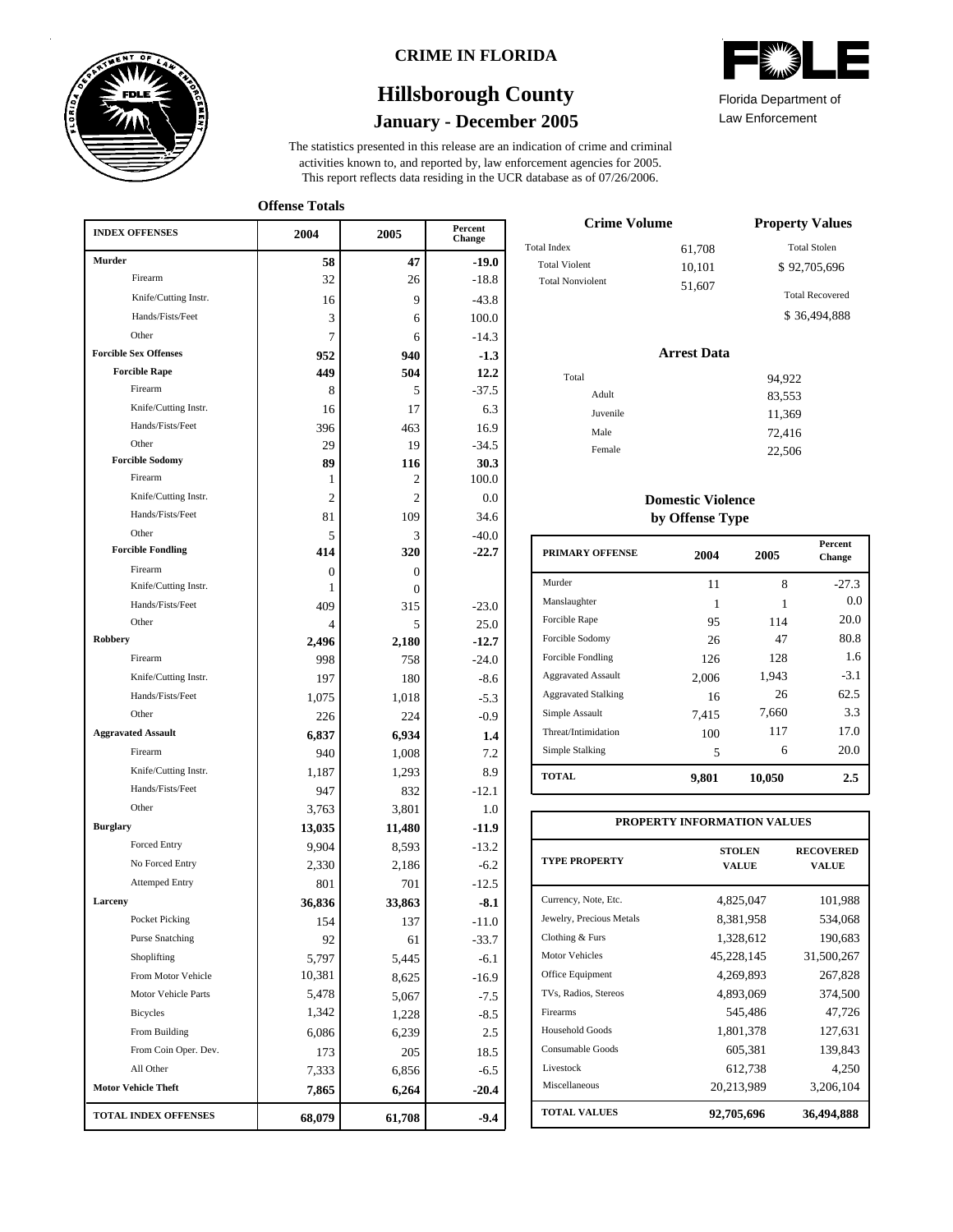

### **CRIME IN FLORIDA**

# **January - December 2005 Hillsborough County**

This report reflects data residing in the UCR database as of 07/26/2006. activities known to, and reported by, law enforcement agencies for 2005. The statistics presented in this release are an indication of crime and criminal

**Offense Totals**

| <b>INDEX OFFENSES</b>        | 2004           | 2005           | Percent<br><b>Change</b> |
|------------------------------|----------------|----------------|--------------------------|
| <b>Murder</b>                | 58             | 47             | $-19.0$                  |
| Firearm                      | 32             | 26             | $-18.8$                  |
| Knife/Cutting Instr.         | 16             | 9              | $-43.8$                  |
| Hands/Fists/Feet             | 3              | 6              | 100.0                    |
| Other                        | 7              | 6              | $-14.3$                  |
| <b>Forcible Sex Offenses</b> | 952            | 940            | $-1.3$                   |
| <b>Forcible Rape</b>         | 449            | 504            | 12.2                     |
| Firearm                      | 8              | 5              | $-37.5$                  |
| Knife/Cutting Instr.         | 16             | 17             | 6.3                      |
| Hands/Fists/Feet             | 396            | 463            | 16.9                     |
| Other                        | 29             | 19             | $-34.5$                  |
| <b>Forcible Sodomy</b>       | 89             | 116            | 30.3                     |
| Firearm                      | 1              | 2              | 100.0                    |
| Knife/Cutting Instr.         | 2              | $\overline{2}$ | 0.0                      |
| Hands/Fists/Feet             | 81             | 109            | 34.6                     |
| Other                        | 5              | 3              | $-40.0$                  |
| <b>Forcible Fondling</b>     | 414            | 320            | $-22.7$                  |
| Firearm                      | $\mathbf{0}$   | $\overline{0}$ |                          |
| Knife/Cutting Instr.         | 1              | $\Omega$       |                          |
| Hands/Fists/Feet             | 409            | 315            | $-23.0$                  |
| Other                        | $\overline{4}$ | 5              | 25.0                     |
| <b>Robbery</b>               | 2.496          | 2,180          | $-12.7$                  |
| Firearm                      | 998            | 758            | $-24.0$                  |
| Knife/Cutting Instr.         | 197            | 180            | $-8.6$                   |
| Hands/Fists/Feet             | 1,075          | 1,018          | $-5.3$                   |
| Other                        | 226            | 224            | $-0.9$                   |
| <b>Aggravated Assault</b>    | 6,837          | 6,934          | 1.4                      |
| Firearm                      | 940            | 1,008          | 7.2                      |
| Knife/Cutting Instr.         | 1,187          | 1,293          | 8.9                      |
| Hands/Fists/Feet             | 947            | 832            | $-12.1$                  |
| Other                        | 3,763          | 3,801          | 1.0                      |
| <b>Burglary</b>              | 13,035         | 11,480         | $-11.9$                  |
| Forced Entry                 | 9,904          | 8,593          | $-13.2$                  |
| No Forced Entry              | 2,330          | 2,186          | $-6.2$                   |
| <b>Attemped Entry</b>        | 801            | 701            | $-12.5$                  |
| Larceny                      | 36,836         | 33,863         | $-8.1$                   |
| Pocket Picking               | 154            | 137            | $-11.0$                  |
| <b>Purse Snatching</b>       | 92             | 61             | $-33.7$                  |
| Shoplifting                  | 5,797          | 5,445          | $-6.1$                   |
| From Motor Vehicle           | 10,381         | 8,625          | $-16.9$                  |
| Motor Vehicle Parts          | 5,478          | 5,067          | $-7.5$                   |
| Bicycles                     | 1,342          | 1,228          | $-8.5$                   |
| From Building                | 6,086          | 6,239          | 2.5                      |
| From Coin Oper. Dev.         | 173            | 205            | 18.5                     |
| All Other                    | 7,333          | 6,856          | $-6.5$                   |
| <b>Motor Vehicle Theft</b>   | 7,865          | 6,264          | $-20.4$                  |
| <b>TOTAL INDEX OFFENSES</b>  | 68,079         | 61,708         | $-9.4$                   |

| <b>TITA</b><br>UM     |  |
|-----------------------|--|
| Ilorida Donartmont of |  |

Law Enforcement Florida Department of

| <b>Crime Volume</b>     | <b>Property Values</b> |                        |
|-------------------------|------------------------|------------------------|
| <b>Total Index</b>      | 61,708                 | <b>Total Stolen</b>    |
| <b>Total Violent</b>    | 10,101                 | \$92,705,696           |
| <b>Total Nonviolent</b> | 51,607                 | <b>Total Recovered</b> |
|                         |                        | \$36,494,888           |

### **Arrest Data**

| Total |          | 94,922 |
|-------|----------|--------|
|       | Adult    | 83,553 |
|       | Juvenile | 11,369 |
|       | Male     | 72,416 |
|       | Female   | 22,506 |
|       |          |        |

### **Domestic Violence by Offense Type**

| <b>PRIMARY OFFENSE</b>     | 2004  | 2005   | <b>Percent</b><br>Change |
|----------------------------|-------|--------|--------------------------|
| Murder                     | 11    | 8      | $-27.3$                  |
| Manslaughter               | 1     |        | 0.0                      |
| Forcible Rape              | 95    | 114    | 20.0                     |
| Forcible Sodomy            | 26    | 47     | 80.8                     |
| Forcible Fondling          | 126   | 128    | 1.6                      |
| <b>Aggravated Assault</b>  | 2.006 | 1,943  | $-3.1$                   |
| <b>Aggravated Stalking</b> | 16    | 26     | 62.5                     |
| Simple Assault             | 7.415 | 7,660  | 3.3                      |
| Threat/Intimidation        | 100   | 117    | 17.0                     |
| Simple Stalking            | 5     | 6      | 20.0                     |
| <b>TOTAL</b>               | 9,801 | 10,050 | 2.5                      |

| PROPERTY INFORMATION VALUES |                               |                           |  |  |  |  |  |
|-----------------------------|-------------------------------|---------------------------|--|--|--|--|--|
| <b>TYPE PROPERTY</b>        | <b>STOLEN</b><br><b>VALUE</b> | <b>RECOVERED</b><br>VALUE |  |  |  |  |  |
| Currency, Note, Etc.        | 4,825,047                     | 101,988                   |  |  |  |  |  |
| Jewelry, Precious Metals    | 8,381,958                     | 534,068                   |  |  |  |  |  |
| Clothing & Furs             | 1,328,612                     | 190,683                   |  |  |  |  |  |
| Motor Vehicles              | 45,228,145                    | 31,500,267                |  |  |  |  |  |
| Office Equipment            | 4,269,893                     | 267,828                   |  |  |  |  |  |
| TVs, Radios, Stereos        | 4,893,069                     | 374,500                   |  |  |  |  |  |
| Firearms                    | 545,486                       | 47,726                    |  |  |  |  |  |
| <b>Household Goods</b>      | 1,801,378                     | 127,631                   |  |  |  |  |  |
| Consumable Goods            | 605,381                       | 139,843                   |  |  |  |  |  |
| Livestock                   | 612,738                       | 4,250                     |  |  |  |  |  |
| Miscellaneous               | 20,213,989                    | 3,206,104                 |  |  |  |  |  |
| <b>TOTAL VALUES</b>         | 92,705,696                    | 36,494,888                |  |  |  |  |  |